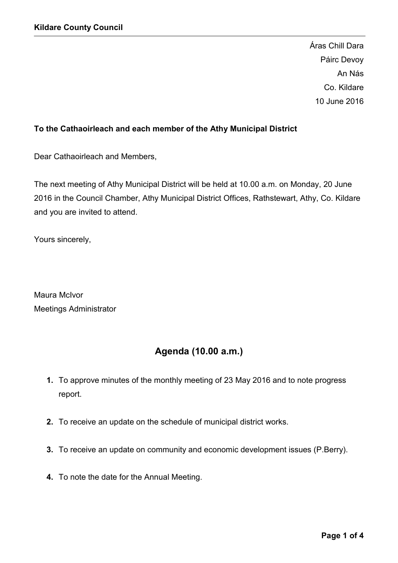Áras Chill Dara Páirc Devoy An Nás Co. Kildare 10 June 2016

# To the Cathaoirleach and each member of the Athy Municipal District

Dear Cathaoirleach and Members,

The next meeting of Athy Municipal District will be held at 10.00 a.m. on Monday, 20 June 2016 in the Council Chamber, Athy Municipal District Offices, Rathstewart, Athy, Co. Kildare and you are invited to attend.

Yours sincerely,

Maura McIvor Meetings Administrator

# Agenda (10.00 a.m.)

- 1. To approve minutes of the monthly meeting of 23 May 2016 and to note progress report.
- 2. To receive an update on the schedule of municipal district works.
- 3. To receive an update on community and economic development issues (P.Berry).
- 4. To note the date for the Annual Meeting.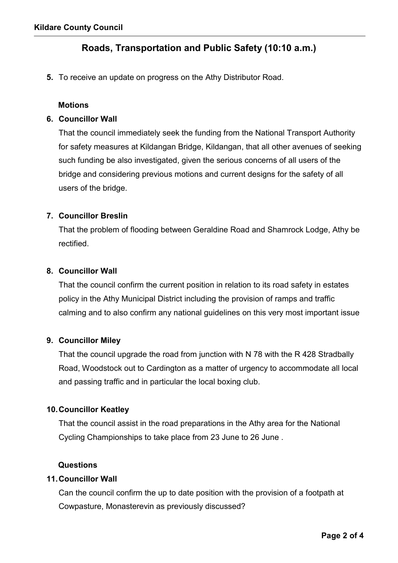# Roads, Transportation and Public Safety (10:10 a.m.)

5. To receive an update on progress on the Athy Distributor Road.

#### **Motions**

#### 6. Councillor Wall

That the council immediately seek the funding from the National Transport Authority for safety measures at Kildangan Bridge, Kildangan, that all other avenues of seeking such funding be also investigated, given the serious concerns of all users of the bridge and considering previous motions and current designs for the safety of all users of the bridge.

#### 7. Councillor Breslin

That the problem of flooding between Geraldine Road and Shamrock Lodge, Athy be rectified.

#### 8. Councillor Wall

That the council confirm the current position in relation to its road safety in estates policy in the Athy Municipal District including the provision of ramps and traffic calming and to also confirm any national guidelines on this very most important issue

## 9. Councillor Miley

That the council upgrade the road from junction with N 78 with the R 428 Stradbally Road, Woodstock out to Cardington as a matter of urgency to accommodate all local and passing traffic and in particular the local boxing club.

## 10.Councillor Keatley

That the council assist in the road preparations in the Athy area for the National Cycling Championships to take place from 23 June to 26 June .

#### Questions

#### 11.Councillor Wall

Can the council confirm the up to date position with the provision of a footpath at Cowpasture, Monasterevin as previously discussed?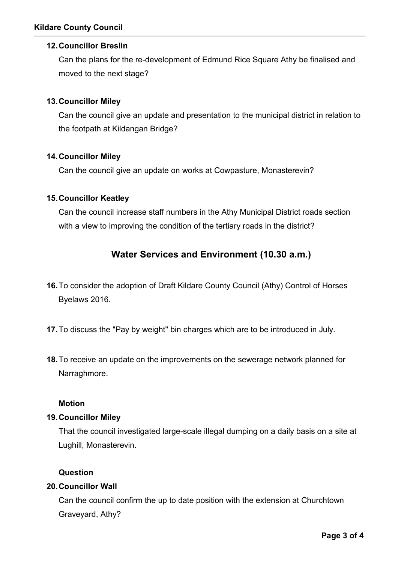## 12.Councillor Breslin

Can the plans for the re-development of Edmund Rice Square Athy be finalised and moved to the next stage?

## 13.Councillor Miley

Can the council give an update and presentation to the municipal district in relation to the footpath at Kildangan Bridge?

## 14.Councillor Miley

Can the council give an update on works at Cowpasture, Monasterevin?

## 15.Councillor Keatley

Can the council increase staff numbers in the Athy Municipal District roads section with a view to improving the condition of the tertiary roads in the district?

# Water Services and Environment (10.30 a.m.)

- 16.To consider the adoption of Draft Kildare County Council (Athy) Control of Horses Byelaws 2016.
- 17.To discuss the "Pay by weight" bin charges which are to be introduced in July.
- 18.To receive an update on the improvements on the sewerage network planned for Narraghmore.

## Motion

## 19.Councillor Miley

That the council investigated large-scale illegal dumping on a daily basis on a site at Lughill, Monasterevin.

## **Question**

## 20.Councillor Wall

Can the council confirm the up to date position with the extension at Churchtown Graveyard, Athy?